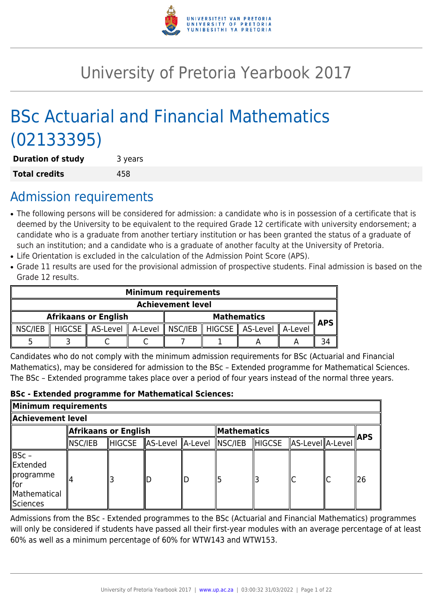

# University of Pretoria Yearbook 2017

# BSc Actuarial and Financial Mathematics (02133395)

| <b>Duration of study</b> | 3 years |
|--------------------------|---------|
| <b>Total credits</b>     | 458     |

## Admission requirements

- The following persons will be considered for admission: a candidate who is in possession of a certificate that is deemed by the University to be equivalent to the required Grade 12 certificate with university endorsement; a candidate who is a graduate from another tertiary institution or has been granted the status of a graduate of such an institution; and a candidate who is a graduate of another faculty at the University of Pretoria.
- Life Orientation is excluded in the calculation of the Admission Point Score (APS).
- Grade 11 results are used for the provisional admission of prospective students. Final admission is based on the Grade 12 results.

|                                                   | <b>Minimum requirements</b> |                                                                           |  |      |  |  |  |  |
|---------------------------------------------------|-----------------------------|---------------------------------------------------------------------------|--|------|--|--|--|--|
|                                                   | <b>Achievement level</b>    |                                                                           |  |      |  |  |  |  |
| <b>Afrikaans or English</b><br><b>Mathematics</b> |                             |                                                                           |  | APS. |  |  |  |  |
| $\parallel$ NSC/IEB                               |                             | HIGCSE    AS-Level    A-Level    NSC/IEB    HIGCSE    AS-Level    A-Level |  |      |  |  |  |  |
|                                                   |                             |                                                                           |  |      |  |  |  |  |

Candidates who do not comply with the minimum admission requirements for BSc (Actuarial and Financial Mathematics), may be considered for admission to the BSc – Extended programme for Mathematical Sciences. The BSc – Extended programme takes place over a period of four years instead of the normal three years.

## **BSc - Extended programme for Mathematical Sciences:**

| Minimum requirements                                                               |                                     |               |                  |  |         |               |                  |  |     |
|------------------------------------------------------------------------------------|-------------------------------------|---------------|------------------|--|---------|---------------|------------------|--|-----|
| Achievement level.                                                                 |                                     |               |                  |  |         |               |                  |  |     |
|                                                                                    | Afrikaans or English<br>Mathematics |               |                  |  |         |               | <b>APS</b>       |  |     |
|                                                                                    | $\parallel$ NSC/IEB                 | <b>HIGCSE</b> | AS-Level A-Level |  | NSC/IEB | <b>HIGCSE</b> | AS-Level A-Level |  |     |
| ∥BSc –<br><b>Extended</b><br>∥programme<br>∥for<br>Mathematical<br><b>Sciences</b> |                                     |               |                  |  |         |               | lC               |  | ∥26 |

Admissions from the BSc - Extended programmes to the BSc (Actuarial and Financial Mathematics) programmes will only be considered if students have passed all their first-year modules with an average percentage of at least 60% as well as a minimum percentage of 60% for WTW143 and WTW153.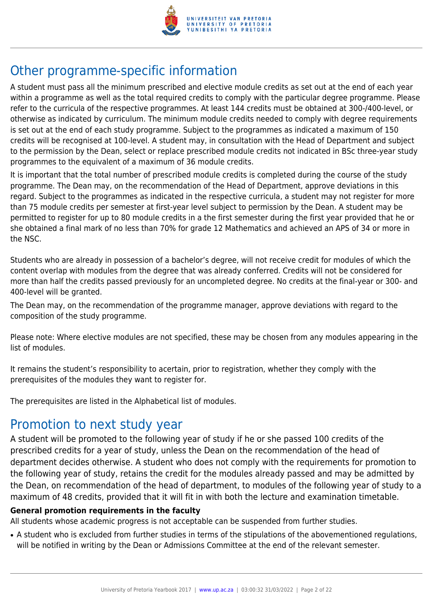

## Other programme-specific information

A student must pass all the minimum prescribed and elective module credits as set out at the end of each year within a programme as well as the total required credits to comply with the particular degree programme. Please refer to the curricula of the respective programmes. At least 144 credits must be obtained at 300-/400-level, or otherwise as indicated by curriculum. The minimum module credits needed to comply with degree requirements is set out at the end of each study programme. Subject to the programmes as indicated a maximum of 150 credits will be recognised at 100-level. A student may, in consultation with the Head of Department and subject to the permission by the Dean, select or replace prescribed module credits not indicated in BSc three-year study programmes to the equivalent of a maximum of 36 module credits.

It is important that the total number of prescribed module credits is completed during the course of the study programme. The Dean may, on the recommendation of the Head of Department, approve deviations in this regard. Subject to the programmes as indicated in the respective curricula, a student may not register for more than 75 module credits per semester at first-year level subject to permission by the Dean. A student may be permitted to register for up to 80 module credits in a the first semester during the first year provided that he or she obtained a final mark of no less than 70% for grade 12 Mathematics and achieved an APS of 34 or more in the NSC.

Students who are already in possession of a bachelor's degree, will not receive credit for modules of which the content overlap with modules from the degree that was already conferred. Credits will not be considered for more than half the credits passed previously for an uncompleted degree. No credits at the final-year or 300- and 400-level will be granted.

The Dean may, on the recommendation of the programme manager, approve deviations with regard to the composition of the study programme.

Please note: Where elective modules are not specified, these may be chosen from any modules appearing in the list of modules.

It remains the student's responsibility to acertain, prior to registration, whether they comply with the prerequisites of the modules they want to register for.

The prerequisites are listed in the Alphabetical list of modules.

## Promotion to next study year

A student will be promoted to the following year of study if he or she passed 100 credits of the prescribed credits for a year of study, unless the Dean on the recommendation of the head of department decides otherwise. A student who does not comply with the requirements for promotion to the following year of study, retains the credit for the modules already passed and may be admitted by the Dean, on recommendation of the head of department, to modules of the following year of study to a maximum of 48 credits, provided that it will fit in with both the lecture and examination timetable.

## **General promotion requirements in the faculty**

All students whose academic progress is not acceptable can be suspended from further studies.

• A student who is excluded from further studies in terms of the stipulations of the abovementioned regulations, will be notified in writing by the Dean or Admissions Committee at the end of the relevant semester.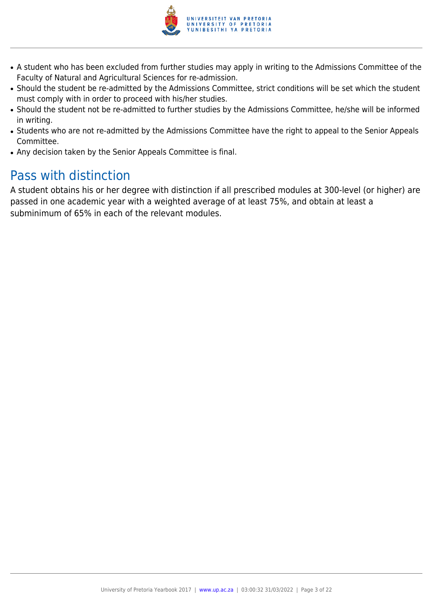

- A student who has been excluded from further studies may apply in writing to the Admissions Committee of the Faculty of Natural and Agricultural Sciences for re-admission.
- Should the student be re-admitted by the Admissions Committee, strict conditions will be set which the student must comply with in order to proceed with his/her studies.
- Should the student not be re-admitted to further studies by the Admissions Committee, he/she will be informed in writing.
- Students who are not re-admitted by the Admissions Committee have the right to appeal to the Senior Appeals Committee.
- Any decision taken by the Senior Appeals Committee is final.

## Pass with distinction

A student obtains his or her degree with distinction if all prescribed modules at 300-level (or higher) are passed in one academic year with a weighted average of at least 75%, and obtain at least a subminimum of 65% in each of the relevant modules.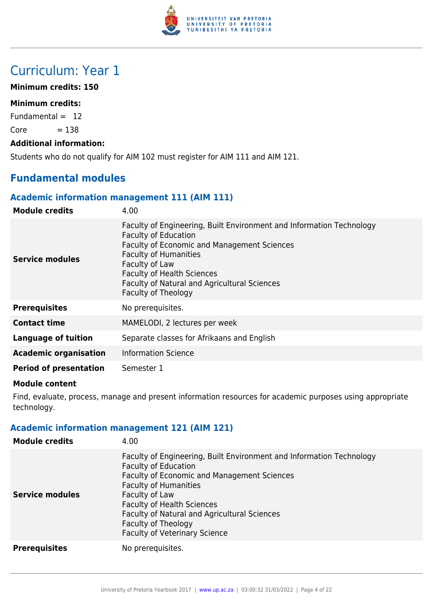

## Curriculum: Year 1

## **Minimum credits: 150**

## **Minimum credits:**

Fundamental  $= 12$ 

 $Core = 138$ 

### **Additional information:**

Students who do not qualify for AIM 102 must register for AIM 111 and AIM 121.

## **Fundamental modules**

## **Academic information management 111 (AIM 111)**

| <b>Module credits</b>         | 4.00                                                                                                                                                                                                                                                                                                                    |
|-------------------------------|-------------------------------------------------------------------------------------------------------------------------------------------------------------------------------------------------------------------------------------------------------------------------------------------------------------------------|
| Service modules               | Faculty of Engineering, Built Environment and Information Technology<br><b>Faculty of Education</b><br><b>Faculty of Economic and Management Sciences</b><br><b>Faculty of Humanities</b><br>Faculty of Law<br><b>Faculty of Health Sciences</b><br>Faculty of Natural and Agricultural Sciences<br>Faculty of Theology |
| <b>Prerequisites</b>          | No prerequisites.                                                                                                                                                                                                                                                                                                       |
| <b>Contact time</b>           | MAMELODI, 2 lectures per week                                                                                                                                                                                                                                                                                           |
| <b>Language of tuition</b>    | Separate classes for Afrikaans and English                                                                                                                                                                                                                                                                              |
| <b>Academic organisation</b>  | <b>Information Science</b>                                                                                                                                                                                                                                                                                              |
| <b>Period of presentation</b> | Semester 1                                                                                                                                                                                                                                                                                                              |

#### **Module content**

Find, evaluate, process, manage and present information resources for academic purposes using appropriate technology.

## **Academic information management 121 (AIM 121)**

| <b>Module credits</b>  | 4.00                                                                                                                                                                                                                                                                                                                                                     |
|------------------------|----------------------------------------------------------------------------------------------------------------------------------------------------------------------------------------------------------------------------------------------------------------------------------------------------------------------------------------------------------|
| <b>Service modules</b> | Faculty of Engineering, Built Environment and Information Technology<br><b>Faculty of Education</b><br>Faculty of Economic and Management Sciences<br><b>Faculty of Humanities</b><br>Faculty of Law<br><b>Faculty of Health Sciences</b><br>Faculty of Natural and Agricultural Sciences<br>Faculty of Theology<br><b>Faculty of Veterinary Science</b> |
| <b>Prerequisites</b>   | No prerequisites.                                                                                                                                                                                                                                                                                                                                        |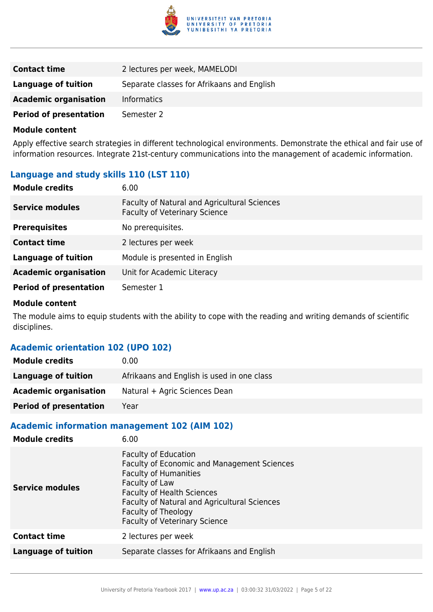

| <b>Contact time</b>           | 2 lectures per week, MAMELODI              |
|-------------------------------|--------------------------------------------|
| Language of tuition           | Separate classes for Afrikaans and English |
| <b>Academic organisation</b>  | <b>Informatics</b>                         |
| <b>Period of presentation</b> | Semester 2                                 |

Apply effective search strategies in different technological environments. Demonstrate the ethical and fair use of information resources. Integrate 21st-century communications into the management of academic information.

## **Language and study skills 110 (LST 110)**

| <b>Module credits</b>         | 6.00                                                                                 |
|-------------------------------|--------------------------------------------------------------------------------------|
| <b>Service modules</b>        | Faculty of Natural and Agricultural Sciences<br><b>Faculty of Veterinary Science</b> |
| <b>Prerequisites</b>          | No prerequisites.                                                                    |
| <b>Contact time</b>           | 2 lectures per week                                                                  |
| <b>Language of tuition</b>    | Module is presented in English                                                       |
| <b>Academic organisation</b>  | Unit for Academic Literacy                                                           |
| <b>Period of presentation</b> | Semester 1                                                                           |

#### **Module content**

The module aims to equip students with the ability to cope with the reading and writing demands of scientific disciplines.

## **Academic orientation 102 (UPO 102)**

| <b>Module credits</b>         | 0.00                                       |
|-------------------------------|--------------------------------------------|
| Language of tuition           | Afrikaans and English is used in one class |
| <b>Academic organisation</b>  | Natural + Agric Sciences Dean              |
| <b>Period of presentation</b> | Year                                       |

## **Academic information management 102 (AIM 102)**

| <b>Module credits</b>      | 6.00                                                                                                                                                                                                                                                                                    |
|----------------------------|-----------------------------------------------------------------------------------------------------------------------------------------------------------------------------------------------------------------------------------------------------------------------------------------|
| Service modules            | <b>Faculty of Education</b><br><b>Faculty of Economic and Management Sciences</b><br><b>Faculty of Humanities</b><br>Faculty of Law<br><b>Faculty of Health Sciences</b><br>Faculty of Natural and Agricultural Sciences<br>Faculty of Theology<br><b>Faculty of Veterinary Science</b> |
| <b>Contact time</b>        | 2 lectures per week                                                                                                                                                                                                                                                                     |
| <b>Language of tuition</b> | Separate classes for Afrikaans and English                                                                                                                                                                                                                                              |
|                            |                                                                                                                                                                                                                                                                                         |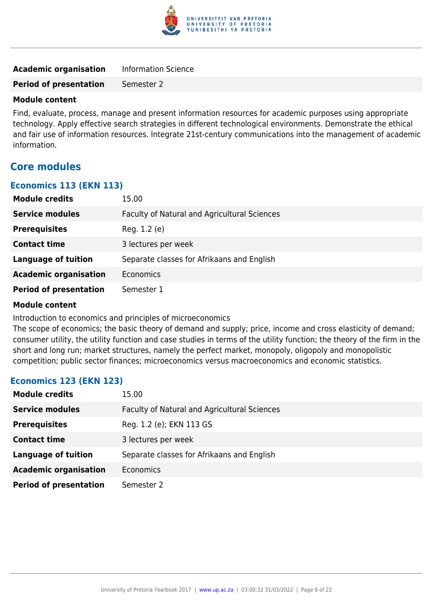

| <b>Academic organisation</b>  | <b>Information Science</b> |
|-------------------------------|----------------------------|
| <b>Period of presentation</b> | Semester 2                 |

Find, evaluate, process, manage and present information resources for academic purposes using appropriate technology. Apply effective search strategies in different technological environments. Demonstrate the ethical and fair use of information resources. Integrate 21st-century communications into the management of academic information.

## **Core modules**

#### **Economics 113 (EKN 113)**

| <b>Module credits</b>         | 15.00                                        |
|-------------------------------|----------------------------------------------|
| <b>Service modules</b>        | Faculty of Natural and Agricultural Sciences |
| <b>Prerequisites</b>          | Reg. 1.2 (e)                                 |
| <b>Contact time</b>           | 3 lectures per week                          |
| <b>Language of tuition</b>    | Separate classes for Afrikaans and English   |
| <b>Academic organisation</b>  | Economics                                    |
| <b>Period of presentation</b> | Semester 1                                   |

#### **Module content**

Introduction to economics and principles of microeconomics

The scope of economics; the basic theory of demand and supply; price, income and cross elasticity of demand; consumer utility, the utility function and case studies in terms of the utility function; the theory of the firm in the short and long run; market structures, namely the perfect market, monopoly, oligopoly and monopolistic competition; public sector finances; microeconomics versus macroeconomics and economic statistics.

## **Economics 123 (EKN 123)**

| <b>Module credits</b>         | 15.00                                        |
|-------------------------------|----------------------------------------------|
| <b>Service modules</b>        | Faculty of Natural and Agricultural Sciences |
| <b>Prerequisites</b>          | Reg. 1.2 (e); EKN 113 GS                     |
| <b>Contact time</b>           | 3 lectures per week                          |
| <b>Language of tuition</b>    | Separate classes for Afrikaans and English   |
| <b>Academic organisation</b>  | Economics                                    |
| <b>Period of presentation</b> | Semester 2                                   |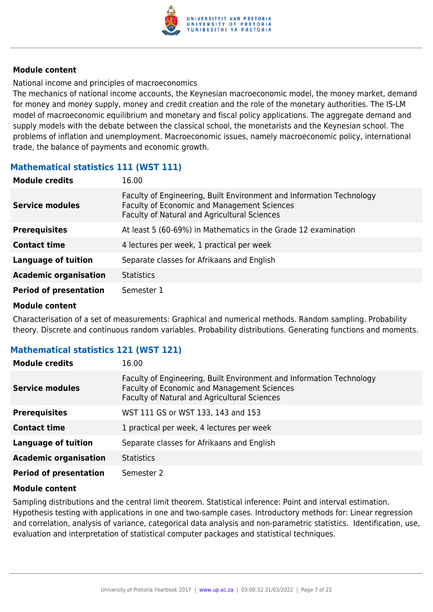

National income and principles of macroeconomics

The mechanics of national income accounts, the Keynesian macroeconomic model, the money market, demand for money and money supply, money and credit creation and the role of the monetary authorities. The IS-LM model of macroeconomic equilibrium and monetary and fiscal policy applications. The aggregate demand and supply models with the debate between the classical school, the monetarists and the Keynesian school. The problems of inflation and unemployment. Macroeconomic issues, namely macroeconomic policy, international trade, the balance of payments and economic growth.

## **Mathematical statistics 111 (WST 111)**

| <b>Module credits</b>         | 16.00                                                                                                                                                               |
|-------------------------------|---------------------------------------------------------------------------------------------------------------------------------------------------------------------|
| <b>Service modules</b>        | Faculty of Engineering, Built Environment and Information Technology<br>Faculty of Economic and Management Sciences<br>Faculty of Natural and Agricultural Sciences |
| <b>Prerequisites</b>          | At least 5 (60-69%) in Mathematics in the Grade 12 examination                                                                                                      |
| <b>Contact time</b>           | 4 lectures per week, 1 practical per week                                                                                                                           |
| Language of tuition           | Separate classes for Afrikaans and English                                                                                                                          |
| <b>Academic organisation</b>  | <b>Statistics</b>                                                                                                                                                   |
| <b>Period of presentation</b> | Semester 1                                                                                                                                                          |

#### **Module content**

Characterisation of a set of measurements: Graphical and numerical methods. Random sampling. Probability theory. Discrete and continuous random variables. Probability distributions. Generating functions and moments.

## **Mathematical statistics 121 (WST 121)**

| <b>Module credits</b>         | 16.00                                                                                                                                                               |
|-------------------------------|---------------------------------------------------------------------------------------------------------------------------------------------------------------------|
| <b>Service modules</b>        | Faculty of Engineering, Built Environment and Information Technology<br>Faculty of Economic and Management Sciences<br>Faculty of Natural and Agricultural Sciences |
| <b>Prerequisites</b>          | WST 111 GS or WST 133, 143 and 153                                                                                                                                  |
| <b>Contact time</b>           | 1 practical per week, 4 lectures per week                                                                                                                           |
| <b>Language of tuition</b>    | Separate classes for Afrikaans and English                                                                                                                          |
| <b>Academic organisation</b>  | <b>Statistics</b>                                                                                                                                                   |
| <b>Period of presentation</b> | Semester 2                                                                                                                                                          |

## **Module content**

Sampling distributions and the central limit theorem. Statistical inference: Point and interval estimation. Hypothesis testing with applications in one and two-sample cases. Introductory methods for: Linear regression and correlation, analysis of variance, categorical data analysis and non-parametric statistics. Identification, use, evaluation and interpretation of statistical computer packages and statistical techniques.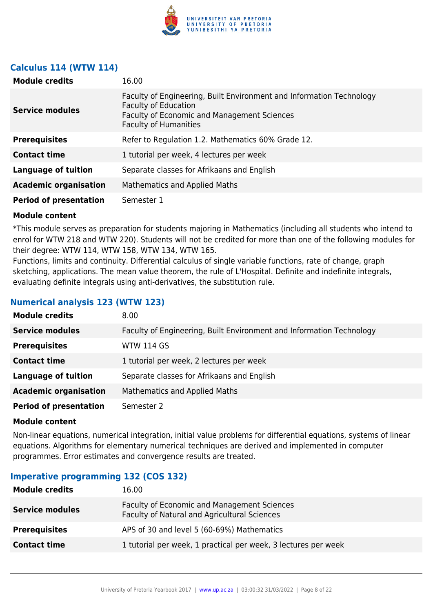

## **Calculus 114 (WTW 114)**

| <b>Module credits</b>         | 16.00                                                                                                                                                                              |
|-------------------------------|------------------------------------------------------------------------------------------------------------------------------------------------------------------------------------|
| <b>Service modules</b>        | Faculty of Engineering, Built Environment and Information Technology<br><b>Faculty of Education</b><br>Faculty of Economic and Management Sciences<br><b>Faculty of Humanities</b> |
| <b>Prerequisites</b>          | Refer to Regulation 1.2. Mathematics 60% Grade 12.                                                                                                                                 |
| <b>Contact time</b>           | 1 tutorial per week, 4 lectures per week                                                                                                                                           |
| Language of tuition           | Separate classes for Afrikaans and English                                                                                                                                         |
| <b>Academic organisation</b>  | Mathematics and Applied Maths                                                                                                                                                      |
| <b>Period of presentation</b> | Semester 1                                                                                                                                                                         |

#### **Module content**

\*This module serves as preparation for students majoring in Mathematics (including all students who intend to enrol for WTW 218 and WTW 220). Students will not be credited for more than one of the following modules for their degree: WTW 114, WTW 158, WTW 134, WTW 165.

Functions, limits and continuity. Differential calculus of single variable functions, rate of change, graph sketching, applications. The mean value theorem, the rule of L'Hospital. Definite and indefinite integrals, evaluating definite integrals using anti-derivatives, the substitution rule.

## **Numerical analysis 123 (WTW 123)**

| <b>Module credits</b>         | 8.00                                                                 |
|-------------------------------|----------------------------------------------------------------------|
| <b>Service modules</b>        | Faculty of Engineering, Built Environment and Information Technology |
| <b>Prerequisites</b>          | <b>WTW 114 GS</b>                                                    |
| <b>Contact time</b>           | 1 tutorial per week, 2 lectures per week                             |
| <b>Language of tuition</b>    | Separate classes for Afrikaans and English                           |
| <b>Academic organisation</b>  | Mathematics and Applied Maths                                        |
| <b>Period of presentation</b> | Semester 2                                                           |

#### **Module content**

Non-linear equations, numerical integration, initial value problems for differential equations, systems of linear equations. Algorithms for elementary numerical techniques are derived and implemented in computer programmes. Error estimates and convergence results are treated.

## **Imperative programming 132 (COS 132)**

| <b>Module credits</b>  | 16.00                                                                                       |
|------------------------|---------------------------------------------------------------------------------------------|
| <b>Service modules</b> | Faculty of Economic and Management Sciences<br>Faculty of Natural and Agricultural Sciences |
| <b>Prerequisites</b>   | APS of 30 and level 5 (60-69%) Mathematics                                                  |
| <b>Contact time</b>    | 1 tutorial per week, 1 practical per week, 3 lectures per week                              |
|                        |                                                                                             |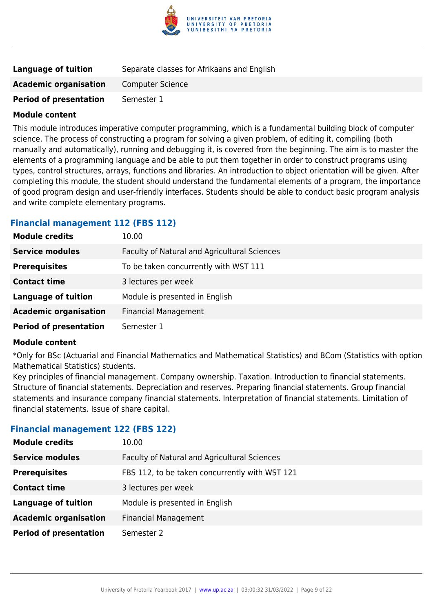

| Language of tuition           | Separate classes for Afrikaans and English |
|-------------------------------|--------------------------------------------|
| <b>Academic organisation</b>  | <b>Computer Science</b>                    |
| <b>Period of presentation</b> | Semester 1                                 |

This module introduces imperative computer programming, which is a fundamental building block of computer science. The process of constructing a program for solving a given problem, of editing it, compiling (both manually and automatically), running and debugging it, is covered from the beginning. The aim is to master the elements of a programming language and be able to put them together in order to construct programs using types, control structures, arrays, functions and libraries. An introduction to object orientation will be given. After completing this module, the student should understand the fundamental elements of a program, the importance of good program design and user-friendly interfaces. Students should be able to conduct basic program analysis and write complete elementary programs.

## **Financial management 112 (FBS 112)**

| <b>Module credits</b>         | 10.00                                        |
|-------------------------------|----------------------------------------------|
| <b>Service modules</b>        | Faculty of Natural and Agricultural Sciences |
| <b>Prerequisites</b>          | To be taken concurrently with WST 111        |
| <b>Contact time</b>           | 3 lectures per week                          |
| <b>Language of tuition</b>    | Module is presented in English               |
| <b>Academic organisation</b>  | <b>Financial Management</b>                  |
| <b>Period of presentation</b> | Semester 1                                   |

#### **Module content**

\*Only for BSc (Actuarial and Financial Mathematics and Mathematical Statistics) and BCom (Statistics with option Mathematical Statistics) students.

Key principles of financial management. Company ownership. Taxation. Introduction to financial statements. Structure of financial statements. Depreciation and reserves. Preparing financial statements. Group financial statements and insurance company financial statements. Interpretation of financial statements. Limitation of financial statements. Issue of share capital.

## **Financial management 122 (FBS 122)**

| <b>Module credits</b>         | 10.00                                          |
|-------------------------------|------------------------------------------------|
| <b>Service modules</b>        | Faculty of Natural and Agricultural Sciences   |
| <b>Prerequisites</b>          | FBS 112, to be taken concurrently with WST 121 |
| <b>Contact time</b>           | 3 lectures per week                            |
| <b>Language of tuition</b>    | Module is presented in English                 |
| <b>Academic organisation</b>  | <b>Financial Management</b>                    |
| <b>Period of presentation</b> | Semester 2                                     |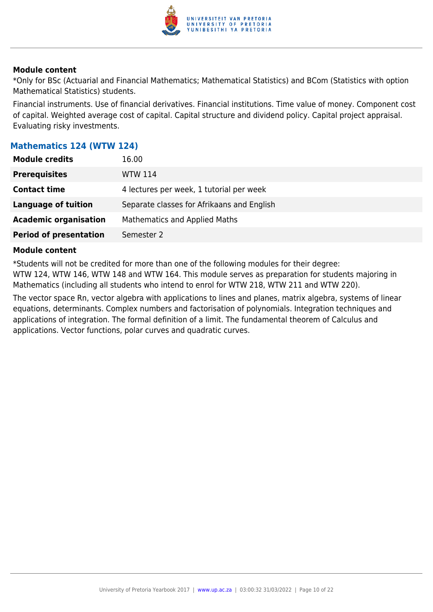

\*Only for BSc (Actuarial and Financial Mathematics; Mathematical Statistics) and BCom (Statistics with option Mathematical Statistics) students.

Financial instruments. Use of financial derivatives. Financial institutions. Time value of money. Component cost of capital. Weighted average cost of capital. Capital structure and dividend policy. Capital project appraisal. Evaluating risky investments.

## **Mathematics 124 (WTW 124)**

| <b>Module credits</b>         | 16.00                                      |
|-------------------------------|--------------------------------------------|
| <b>Prerequisites</b>          | <b>WTW 114</b>                             |
| <b>Contact time</b>           | 4 lectures per week, 1 tutorial per week   |
| Language of tuition           | Separate classes for Afrikaans and English |
| <b>Academic organisation</b>  | <b>Mathematics and Applied Maths</b>       |
| <b>Period of presentation</b> | Semester 2                                 |

#### **Module content**

\*Students will not be credited for more than one of the following modules for their degree: WTW 124, WTW 146, WTW 148 and WTW 164. This module serves as preparation for students majoring in Mathematics (including all students who intend to enrol for WTW 218, WTW 211 and WTW 220).

The vector space Rn, vector algebra with applications to lines and planes, matrix algebra, systems of linear equations, determinants. Complex numbers and factorisation of polynomials. Integration techniques and applications of integration. The formal definition of a limit. The fundamental theorem of Calculus and applications. Vector functions, polar curves and quadratic curves.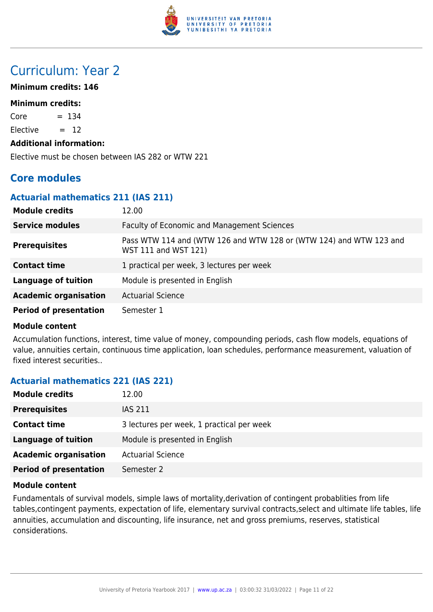

## Curriculum: Year 2

## **Minimum credits: 146**

#### **Minimum credits:**

 $Core = 134$ 

Elective  $= 12$ 

#### **Additional information:**

Elective must be chosen between IAS 282 or WTW 221

## **Core modules**

### **Actuarial mathematics 211 (IAS 211)**

| <b>Module credits</b>         | 12.00                                                                                      |
|-------------------------------|--------------------------------------------------------------------------------------------|
| <b>Service modules</b>        | <b>Faculty of Economic and Management Sciences</b>                                         |
| <b>Prerequisites</b>          | Pass WTW 114 and (WTW 126 and WTW 128 or (WTW 124) and WTW 123 and<br>WST 111 and WST 121) |
| <b>Contact time</b>           | 1 practical per week, 3 lectures per week                                                  |
| <b>Language of tuition</b>    | Module is presented in English                                                             |
| <b>Academic organisation</b>  | <b>Actuarial Science</b>                                                                   |
| <b>Period of presentation</b> | Semester 1                                                                                 |

#### **Module content**

Accumulation functions, interest, time value of money, compounding periods, cash flow models, equations of value, annuities certain, continuous time application, loan schedules, performance measurement, valuation of fixed interest securities..

## **Actuarial mathematics 221 (IAS 221)**

| <b>Module credits</b>         | 12.00                                     |
|-------------------------------|-------------------------------------------|
| <b>Prerequisites</b>          | <b>IAS 211</b>                            |
| <b>Contact time</b>           | 3 lectures per week, 1 practical per week |
| Language of tuition           | Module is presented in English            |
| <b>Academic organisation</b>  | <b>Actuarial Science</b>                  |
| <b>Period of presentation</b> | Semester 2                                |

#### **Module content**

Fundamentals of survival models, simple laws of mortality,derivation of contingent probablities from life tables,contingent payments, expectation of life, elementary survival contracts,select and ultimate life tables, life annuities, accumulation and discounting, life insurance, net and gross premiums, reserves, statistical considerations.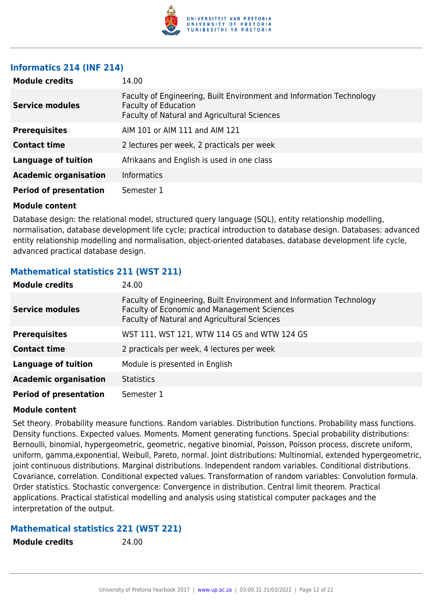

## **Informatics 214 (INF 214)**

| <b>Module credits</b>         | 14.00                                                                                                                                               |
|-------------------------------|-----------------------------------------------------------------------------------------------------------------------------------------------------|
| <b>Service modules</b>        | Faculty of Engineering, Built Environment and Information Technology<br><b>Faculty of Education</b><br>Faculty of Natural and Agricultural Sciences |
| <b>Prerequisites</b>          | AIM 101 or AIM 111 and AIM 121                                                                                                                      |
| <b>Contact time</b>           | 2 lectures per week, 2 practicals per week                                                                                                          |
| <b>Language of tuition</b>    | Afrikaans and English is used in one class                                                                                                          |
| <b>Academic organisation</b>  | <b>Informatics</b>                                                                                                                                  |
| <b>Period of presentation</b> | Semester 1                                                                                                                                          |

#### **Module content**

Database design: the relational model, structured query language (SQL), entity relationship modelling, normalisation, database development life cycle; practical introduction to database design. Databases: advanced entity relationship modelling and normalisation, object-oriented databases, database development life cycle, advanced practical database design.

## **Mathematical statistics 211 (WST 211)**

| <b>Module credits</b>         | 24.00                                                                                                                                                                      |
|-------------------------------|----------------------------------------------------------------------------------------------------------------------------------------------------------------------------|
| <b>Service modules</b>        | Faculty of Engineering, Built Environment and Information Technology<br><b>Faculty of Economic and Management Sciences</b><br>Faculty of Natural and Agricultural Sciences |
| <b>Prerequisites</b>          | WST 111, WST 121, WTW 114 GS and WTW 124 GS                                                                                                                                |
| <b>Contact time</b>           | 2 practicals per week, 4 lectures per week                                                                                                                                 |
| Language of tuition           | Module is presented in English                                                                                                                                             |
| <b>Academic organisation</b>  | <b>Statistics</b>                                                                                                                                                          |
| <b>Period of presentation</b> | Semester 1                                                                                                                                                                 |

## **Module content**

Set theory. Probability measure functions. Random variables. Distribution functions. Probability mass functions. Density functions. Expected values. Moments. Moment generating functions. Special probability distributions: Bernoulli, binomial, hypergeometric, geometric, negative binomial, Poisson, Poisson process, discrete uniform, uniform, gamma,exponential, Weibull, Pareto, normal. Joint distributions: Multinomial, extended hypergeometric, joint continuous distributions. Marginal distributions. Independent random variables. Conditional distributions. Covariance, correlation. Conditional expected values. Transformation of random variables: Convolution formula. Order statistics. Stochastic convergence: Convergence in distribution. Central limit theorem. Practical applications. Practical statistical modelling and analysis using statistical computer packages and the interpretation of the output.

## **Mathematical statistics 221 (WST 221)**

**Module credits** 24.00

University of Pretoria Yearbook 2017 | [www.up.ac.za](https://www.up.ac.za/yearbooks/home) | 03:00:32 31/03/2022 | Page 12 of 22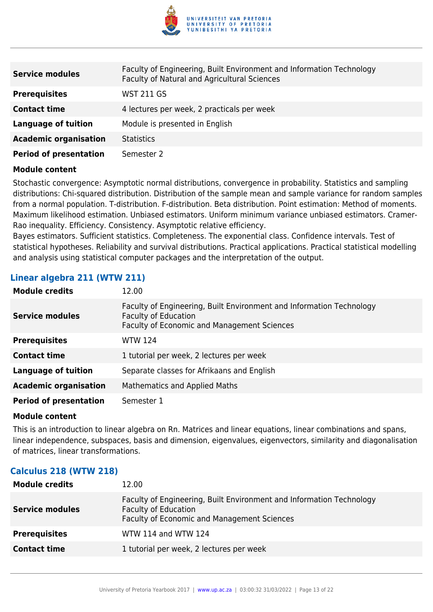

| <b>Service modules</b>        | Faculty of Engineering, Built Environment and Information Technology<br>Faculty of Natural and Agricultural Sciences |
|-------------------------------|----------------------------------------------------------------------------------------------------------------------|
| <b>Prerequisites</b>          | WST 211 GS                                                                                                           |
| <b>Contact time</b>           | 4 lectures per week, 2 practicals per week                                                                           |
| <b>Language of tuition</b>    | Module is presented in English                                                                                       |
| <b>Academic organisation</b>  | <b>Statistics</b>                                                                                                    |
| <b>Period of presentation</b> | Semester 2                                                                                                           |

Stochastic convergence: Asymptotic normal distributions, convergence in probability. Statistics and sampling distributions: Chi-squared distribution. Distribution of the sample mean and sample variance for random samples from a normal population. T-distribution. F-distribution. Beta distribution. Point estimation: Method of moments. Maximum likelihood estimation. Unbiased estimators. Uniform minimum variance unbiased estimators. Cramer-Rao inequality. Efficiency. Consistency. Asymptotic relative efficiency.

Bayes estimators. Sufficient statistics. Completeness. The exponential class. Confidence intervals. Test of statistical hypotheses. Reliability and survival distributions. Practical applications. Practical statistical modelling and analysis using statistical computer packages and the interpretation of the output.

## **Linear algebra 211 (WTW 211)**

| <b>Module credits</b>         | 12.00                                                                                                                                              |
|-------------------------------|----------------------------------------------------------------------------------------------------------------------------------------------------|
| <b>Service modules</b>        | Faculty of Engineering, Built Environment and Information Technology<br><b>Faculty of Education</b><br>Faculty of Economic and Management Sciences |
| <b>Prerequisites</b>          | <b>WTW 124</b>                                                                                                                                     |
| <b>Contact time</b>           | 1 tutorial per week, 2 lectures per week                                                                                                           |
| <b>Language of tuition</b>    | Separate classes for Afrikaans and English                                                                                                         |
| <b>Academic organisation</b>  | Mathematics and Applied Maths                                                                                                                      |
| <b>Period of presentation</b> | Semester 1                                                                                                                                         |

#### **Module content**

This is an introduction to linear algebra on Rn. Matrices and linear equations, linear combinations and spans, linear independence, subspaces, basis and dimension, eigenvalues, eigenvectors, similarity and diagonalisation of matrices, linear transformations.

## **Calculus 218 (WTW 218)**

| <b>Module credits</b>  | 12.00                                                                                                                                              |
|------------------------|----------------------------------------------------------------------------------------------------------------------------------------------------|
| <b>Service modules</b> | Faculty of Engineering, Built Environment and Information Technology<br><b>Faculty of Education</b><br>Faculty of Economic and Management Sciences |
| <b>Prerequisites</b>   | WTW 114 and WTW 124                                                                                                                                |
| <b>Contact time</b>    | 1 tutorial per week, 2 lectures per week                                                                                                           |
|                        |                                                                                                                                                    |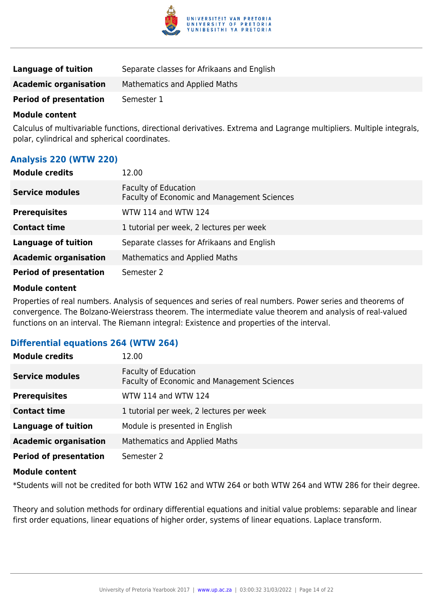

| Language of tuition           | Separate classes for Afrikaans and English |
|-------------------------------|--------------------------------------------|
| <b>Academic organisation</b>  | <b>Mathematics and Applied Maths</b>       |
| <b>Period of presentation</b> | Semester 1                                 |

Calculus of multivariable functions, directional derivatives. Extrema and Lagrange multipliers. Multiple integrals, polar, cylindrical and spherical coordinates.

## **Analysis 220 (WTW 220)**

| <b>Module credits</b>         | 12.00                                                                      |
|-------------------------------|----------------------------------------------------------------------------|
| <b>Service modules</b>        | <b>Faculty of Education</b><br>Faculty of Economic and Management Sciences |
| <b>Prerequisites</b>          | WTW 114 and WTW 124                                                        |
| <b>Contact time</b>           | 1 tutorial per week, 2 lectures per week                                   |
| <b>Language of tuition</b>    | Separate classes for Afrikaans and English                                 |
| <b>Academic organisation</b>  | <b>Mathematics and Applied Maths</b>                                       |
| <b>Period of presentation</b> | Semester 2                                                                 |

## **Module content**

Properties of real numbers. Analysis of sequences and series of real numbers. Power series and theorems of convergence. The Bolzano-Weierstrass theorem. The intermediate value theorem and analysis of real-valued functions on an interval. The Riemann integral: Existence and properties of the interval.

## **Differential equations 264 (WTW 264)**

| <b>Module credits</b>         | 12.00                                                                             |
|-------------------------------|-----------------------------------------------------------------------------------|
| <b>Service modules</b>        | <b>Faculty of Education</b><br><b>Faculty of Economic and Management Sciences</b> |
| <b>Prerequisites</b>          | WTW 114 and WTW 124                                                               |
| <b>Contact time</b>           | 1 tutorial per week, 2 lectures per week                                          |
| <b>Language of tuition</b>    | Module is presented in English                                                    |
| <b>Academic organisation</b>  | Mathematics and Applied Maths                                                     |
| <b>Period of presentation</b> | Semester 2                                                                        |
| <b>Module content</b>         |                                                                                   |

\*Students will not be credited for both WTW 162 and WTW 264 or both WTW 264 and WTW 286 for their degree.

Theory and solution methods for ordinary differential equations and initial value problems: separable and linear first order equations, linear equations of higher order, systems of linear equations. Laplace transform.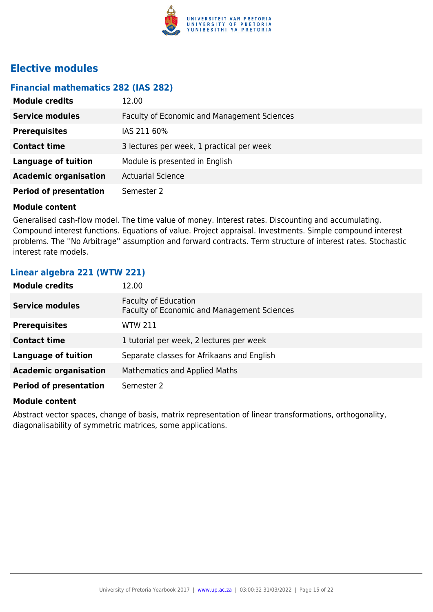

## **Elective modules**

## **Financial mathematics 282 (IAS 282)**

| <b>Module credits</b>         | 12.00                                       |
|-------------------------------|---------------------------------------------|
| <b>Service modules</b>        | Faculty of Economic and Management Sciences |
| <b>Prerequisites</b>          | IAS 211 60%                                 |
| <b>Contact time</b>           | 3 lectures per week, 1 practical per week   |
| <b>Language of tuition</b>    | Module is presented in English              |
| <b>Academic organisation</b>  | <b>Actuarial Science</b>                    |
| <b>Period of presentation</b> | Semester 2                                  |

#### **Module content**

Generalised cash-flow model. The time value of money. Interest rates. Discounting and accumulating. Compound interest functions. Equations of value. Project appraisal. Investments. Simple compound interest problems. The ''No Arbitrage'' assumption and forward contracts. Term structure of interest rates. Stochastic interest rate models.

## **Linear algebra 221 (WTW 221)**

| <b>Module credits</b>         | 12.00                                                                      |
|-------------------------------|----------------------------------------------------------------------------|
| <b>Service modules</b>        | <b>Faculty of Education</b><br>Faculty of Economic and Management Sciences |
| <b>Prerequisites</b>          | <b>WTW 211</b>                                                             |
| <b>Contact time</b>           | 1 tutorial per week, 2 lectures per week                                   |
| <b>Language of tuition</b>    | Separate classes for Afrikaans and English                                 |
| <b>Academic organisation</b>  | <b>Mathematics and Applied Maths</b>                                       |
| <b>Period of presentation</b> | Semester 2                                                                 |

#### **Module content**

Abstract vector spaces, change of basis, matrix representation of linear transformations, orthogonality, diagonalisability of symmetric matrices, some applications.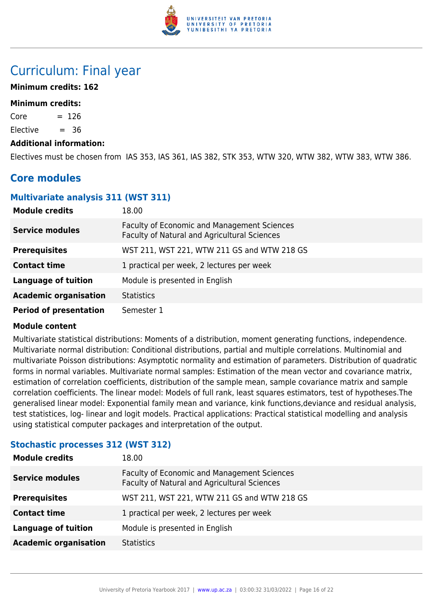

## Curriculum: Final year

## **Minimum credits: 162**

### **Minimum credits:**

 $Core = 126$ 

Elective  $= 36$ 

#### **Additional information:**

Electives must be chosen from IAS 353, IAS 361, IAS 382, STK 353, WTW 320, WTW 382, WTW 383, WTW 386.

## **Core modules**

## **Multivariate analysis 311 (WST 311)**

| <b>Module credits</b>         | 18.00                                                                                       |
|-------------------------------|---------------------------------------------------------------------------------------------|
| <b>Service modules</b>        | Faculty of Economic and Management Sciences<br>Faculty of Natural and Agricultural Sciences |
| <b>Prerequisites</b>          | WST 211, WST 221, WTW 211 GS and WTW 218 GS                                                 |
| <b>Contact time</b>           | 1 practical per week, 2 lectures per week                                                   |
| <b>Language of tuition</b>    | Module is presented in English                                                              |
| <b>Academic organisation</b>  | <b>Statistics</b>                                                                           |
| <b>Period of presentation</b> | Semester 1                                                                                  |

#### **Module content**

Multivariate statistical distributions: Moments of a distribution, moment generating functions, independence. Multivariate normal distribution: Conditional distributions, partial and multiple correlations. Multinomial and multivariate Poisson distributions: Asymptotic normality and estimation of parameters. Distribution of quadratic forms in normal variables. Multivariate normal samples: Estimation of the mean vector and covariance matrix, estimation of correlation coefficients, distribution of the sample mean, sample covariance matrix and sample correlation coefficients. The linear model: Models of full rank, least squares estimators, test of hypotheses.The generalised linear model: Exponential family mean and variance, kink functions,deviance and residual analysis, test statistices, log- linear and logit models. Practical applications: Practical statistical modelling and analysis using statistical computer packages and interpretation of the output.

## **Stochastic processes 312 (WST 312)**

| <b>Module credits</b>        | 18.00                                                                                       |
|------------------------------|---------------------------------------------------------------------------------------------|
| <b>Service modules</b>       | Faculty of Economic and Management Sciences<br>Faculty of Natural and Agricultural Sciences |
| <b>Prerequisites</b>         | WST 211, WST 221, WTW 211 GS and WTW 218 GS                                                 |
| <b>Contact time</b>          | 1 practical per week, 2 lectures per week                                                   |
| <b>Language of tuition</b>   | Module is presented in English                                                              |
| <b>Academic organisation</b> | <b>Statistics</b>                                                                           |
|                              |                                                                                             |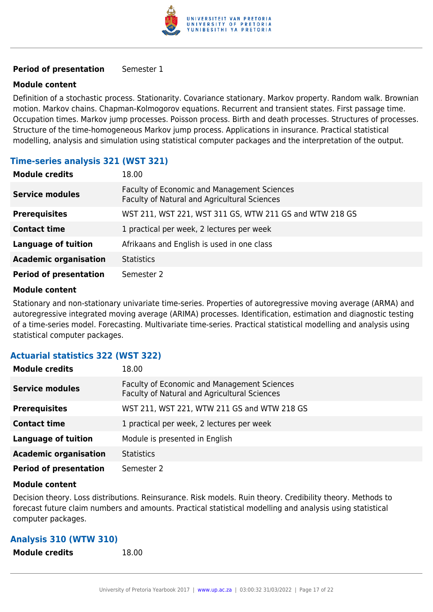

### **Period of presentation** Semester 1

### **Module content**

Definition of a stochastic process. Stationarity. Covariance stationary. Markov property. Random walk. Brownian motion. Markov chains. Chapman-Kolmogorov equations. Recurrent and transient states. First passage time. Occupation times. Markov jump processes. Poisson process. Birth and death processes. Structures of processes. Structure of the time-homogeneous Markov jump process. Applications in insurance. Practical statistical modelling, analysis and simulation using statistical computer packages and the interpretation of the output.

## **Time-series analysis 321 (WST 321)**

| <b>Module credits</b>         | 18.00                                                                                       |
|-------------------------------|---------------------------------------------------------------------------------------------|
| <b>Service modules</b>        | Faculty of Economic and Management Sciences<br>Faculty of Natural and Agricultural Sciences |
| <b>Prerequisites</b>          | WST 211, WST 221, WST 311 GS, WTW 211 GS and WTW 218 GS                                     |
| <b>Contact time</b>           | 1 practical per week, 2 lectures per week                                                   |
| <b>Language of tuition</b>    | Afrikaans and English is used in one class                                                  |
| <b>Academic organisation</b>  | <b>Statistics</b>                                                                           |
| <b>Period of presentation</b> | Semester 2                                                                                  |

#### **Module content**

Stationary and non-stationary univariate time-series. Properties of autoregressive moving average (ARMA) and autoregressive integrated moving average (ARIMA) processes. Identification, estimation and diagnostic testing of a time-series model. Forecasting. Multivariate time-series. Practical statistical modelling and analysis using statistical computer packages.

## **Actuarial statistics 322 (WST 322)**

| <b>Module credits</b>         | 18.00                                                                                              |
|-------------------------------|----------------------------------------------------------------------------------------------------|
| <b>Service modules</b>        | <b>Faculty of Economic and Management Sciences</b><br>Faculty of Natural and Agricultural Sciences |
| <b>Prerequisites</b>          | WST 211, WST 221, WTW 211 GS and WTW 218 GS                                                        |
| <b>Contact time</b>           | 1 practical per week, 2 lectures per week                                                          |
| <b>Language of tuition</b>    | Module is presented in English                                                                     |
| <b>Academic organisation</b>  | <b>Statistics</b>                                                                                  |
| <b>Period of presentation</b> | Semester 2                                                                                         |

#### **Module content**

Decision theory. Loss distributions. Reinsurance. Risk models. Ruin theory. Credibility theory. Methods to forecast future claim numbers and amounts. Practical statistical modelling and analysis using statistical computer packages.

| <b>Analysis 310 (WTW 310)</b> |       |
|-------------------------------|-------|
| Module credits                | 18.00 |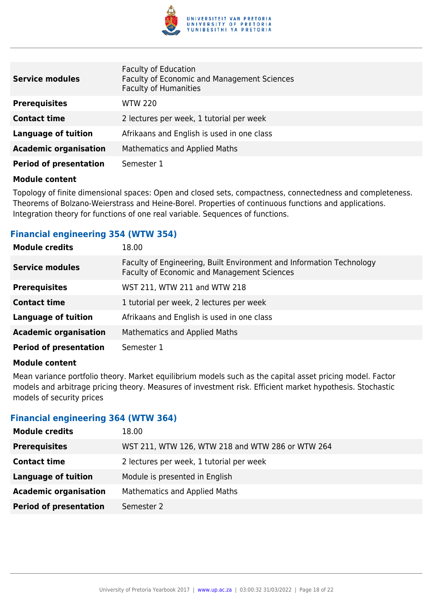

| <b>Service modules</b>        | <b>Faculty of Education</b><br>Faculty of Economic and Management Sciences<br><b>Faculty of Humanities</b> |
|-------------------------------|------------------------------------------------------------------------------------------------------------|
| <b>Prerequisites</b>          | <b>WTW 220</b>                                                                                             |
| <b>Contact time</b>           | 2 lectures per week, 1 tutorial per week                                                                   |
| Language of tuition           | Afrikaans and English is used in one class                                                                 |
| <b>Academic organisation</b>  | Mathematics and Applied Maths                                                                              |
| <b>Period of presentation</b> | Semester 1                                                                                                 |

Topology of finite dimensional spaces: Open and closed sets, compactness, connectedness and completeness. Theorems of Bolzano-Weierstrass and Heine-Borel. Properties of continuous functions and applications. Integration theory for functions of one real variable. Sequences of functions.

## **Financial engineering 354 (WTW 354)**

| <b>Module credits</b>         | 18.00                                                                                                                      |
|-------------------------------|----------------------------------------------------------------------------------------------------------------------------|
| <b>Service modules</b>        | Faculty of Engineering, Built Environment and Information Technology<br><b>Faculty of Economic and Management Sciences</b> |
| <b>Prerequisites</b>          | WST 211, WTW 211 and WTW 218                                                                                               |
| <b>Contact time</b>           | 1 tutorial per week, 2 lectures per week                                                                                   |
| <b>Language of tuition</b>    | Afrikaans and English is used in one class                                                                                 |
| <b>Academic organisation</b>  | Mathematics and Applied Maths                                                                                              |
| <b>Period of presentation</b> | Semester 1                                                                                                                 |

## **Module content**

Mean variance portfolio theory. Market equilibrium models such as the capital asset pricing model. Factor models and arbitrage pricing theory. Measures of investment risk. Efficient market hypothesis. Stochastic models of security prices

## **Financial engineering 364 (WTW 364)**

| <b>Module credits</b>         | 18.00                                            |
|-------------------------------|--------------------------------------------------|
| <b>Prerequisites</b>          | WST 211, WTW 126, WTW 218 and WTW 286 or WTW 264 |
| <b>Contact time</b>           | 2 lectures per week, 1 tutorial per week         |
| <b>Language of tuition</b>    | Module is presented in English                   |
| <b>Academic organisation</b>  | <b>Mathematics and Applied Maths</b>             |
| <b>Period of presentation</b> | Semester 2                                       |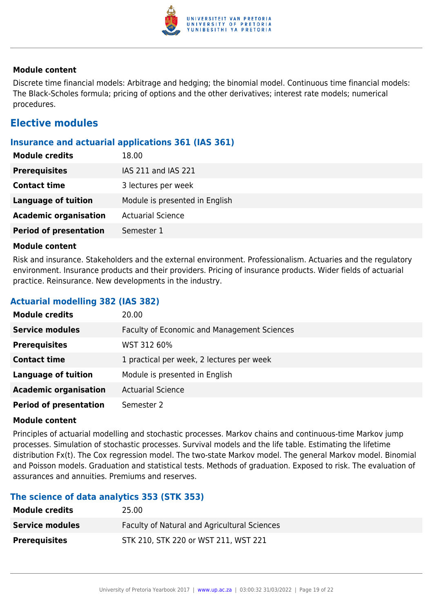

Discrete time financial models: Arbitrage and hedging; the binomial model. Continuous time financial models: The Black-Scholes formula; pricing of options and the other derivatives; interest rate models; numerical procedures.

## **Elective modules**

## **Insurance and actuarial applications 361 (IAS 361)**

| <b>Module credits</b>         | 18.00                          |
|-------------------------------|--------------------------------|
| <b>Prerequisites</b>          | IAS 211 and IAS 221            |
| <b>Contact time</b>           | 3 lectures per week            |
| <b>Language of tuition</b>    | Module is presented in English |
| <b>Academic organisation</b>  | <b>Actuarial Science</b>       |
| <b>Period of presentation</b> | Semester 1                     |
|                               |                                |

#### **Module content**

Risk and insurance. Stakeholders and the external environment. Professionalism. Actuaries and the regulatory environment. Insurance products and their providers. Pricing of insurance products. Wider fields of actuarial practice. Reinsurance. New developments in the industry.

## **Actuarial modelling 382 (IAS 382)**

| <b>Module credits</b>         | 20.00                                              |
|-------------------------------|----------------------------------------------------|
| <b>Service modules</b>        | <b>Faculty of Economic and Management Sciences</b> |
| <b>Prerequisites</b>          | WST 312 60%                                        |
| <b>Contact time</b>           | 1 practical per week, 2 lectures per week          |
| <b>Language of tuition</b>    | Module is presented in English                     |
| <b>Academic organisation</b>  | <b>Actuarial Science</b>                           |
| <b>Period of presentation</b> | Semester 2                                         |

## **Module content**

Principles of actuarial modelling and stochastic processes. Markov chains and continuous-time Markov jump processes. Simulation of stochastic processes. Survival models and the life table. Estimating the lifetime distribution Fx(t). The Cox regression model. The two-state Markov model. The general Markov model. Binomial and Poisson models. Graduation and statistical tests. Methods of graduation. Exposed to risk. The evaluation of assurances and annuities. Premiums and reserves.

## **The science of data analytics 353 (STK 353)**

| <b>Module credits</b>  | 25.00                                               |
|------------------------|-----------------------------------------------------|
| <b>Service modules</b> | <b>Faculty of Natural and Agricultural Sciences</b> |
| <b>Prerequisites</b>   | STK 210, STK 220 or WST 211, WST 221                |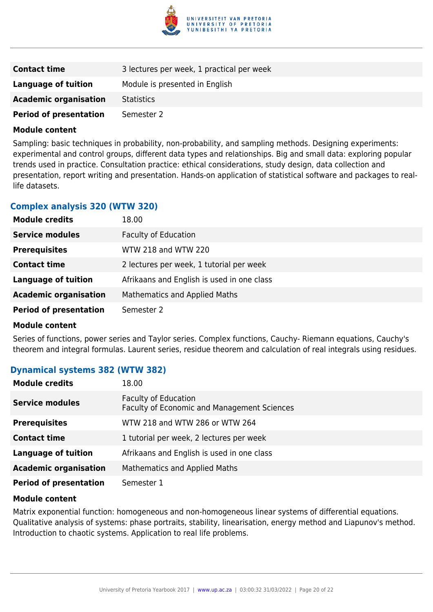

| <b>Contact time</b>           | 3 lectures per week, 1 practical per week |
|-------------------------------|-------------------------------------------|
| <b>Language of tuition</b>    | Module is presented in English            |
| <b>Academic organisation</b>  | <b>Statistics</b>                         |
| <b>Period of presentation</b> | Semester 2                                |

Sampling: basic techniques in probability, non-probability, and sampling methods. Designing experiments: experimental and control groups, different data types and relationships. Big and small data: exploring popular trends used in practice. Consultation practice: ethical considerations, study design, data collection and presentation, report writing and presentation. Hands-on application of statistical software and packages to reallife datasets.

## **Complex analysis 320 (WTW 320)**

| <b>Module credits</b>         | 18.00                                      |
|-------------------------------|--------------------------------------------|
| <b>Service modules</b>        | <b>Faculty of Education</b>                |
| <b>Prerequisites</b>          | WTW 218 and WTW 220                        |
| <b>Contact time</b>           | 2 lectures per week, 1 tutorial per week   |
| <b>Language of tuition</b>    | Afrikaans and English is used in one class |
| <b>Academic organisation</b>  | Mathematics and Applied Maths              |
| <b>Period of presentation</b> | Semester 2                                 |

#### **Module content**

Series of functions, power series and Taylor series. Complex functions, Cauchy- Riemann equations, Cauchy's theorem and integral formulas. Laurent series, residue theorem and calculation of real integrals using residues.

## **Dynamical systems 382 (WTW 382)**

| <b>Module credits</b>         | 18.00                                                                      |
|-------------------------------|----------------------------------------------------------------------------|
| <b>Service modules</b>        | <b>Faculty of Education</b><br>Faculty of Economic and Management Sciences |
| <b>Prerequisites</b>          | WTW 218 and WTW 286 or WTW 264                                             |
| <b>Contact time</b>           | 1 tutorial per week, 2 lectures per week                                   |
| <b>Language of tuition</b>    | Afrikaans and English is used in one class                                 |
| <b>Academic organisation</b>  | <b>Mathematics and Applied Maths</b>                                       |
| <b>Period of presentation</b> | Semester 1                                                                 |

#### **Module content**

Matrix exponential function: homogeneous and non-homogeneous linear systems of differential equations. Qualitative analysis of systems: phase portraits, stability, linearisation, energy method and Liapunov's method. Introduction to chaotic systems. Application to real life problems.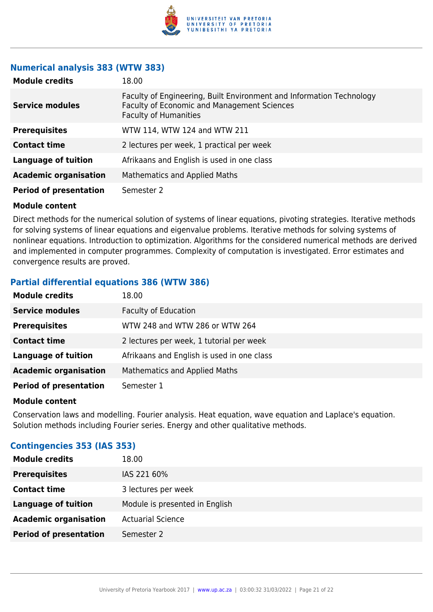

## **Numerical analysis 383 (WTW 383)**

| <b>Module credits</b>         | 18.00                                                                                                                                               |
|-------------------------------|-----------------------------------------------------------------------------------------------------------------------------------------------------|
| <b>Service modules</b>        | Faculty of Engineering, Built Environment and Information Technology<br>Faculty of Economic and Management Sciences<br><b>Faculty of Humanities</b> |
| <b>Prerequisites</b>          | WTW 114, WTW 124 and WTW 211                                                                                                                        |
| <b>Contact time</b>           | 2 lectures per week, 1 practical per week                                                                                                           |
| Language of tuition           | Afrikaans and English is used in one class                                                                                                          |
| <b>Academic organisation</b>  | Mathematics and Applied Maths                                                                                                                       |
| <b>Period of presentation</b> | Semester 2                                                                                                                                          |

#### **Module content**

Direct methods for the numerical solution of systems of linear equations, pivoting strategies. Iterative methods for solving systems of linear equations and eigenvalue problems. Iterative methods for solving systems of nonlinear equations. Introduction to optimization. Algorithms for the considered numerical methods are derived and implemented in computer programmes. Complexity of computation is investigated. Error estimates and convergence results are proved.

## **Partial differential equations 386 (WTW 386)**

| <b>Module credits</b>         | 18.00                                      |
|-------------------------------|--------------------------------------------|
| <b>Service modules</b>        | <b>Faculty of Education</b>                |
| <b>Prerequisites</b>          | WTW 248 and WTW 286 or WTW 264             |
| <b>Contact time</b>           | 2 lectures per week, 1 tutorial per week   |
| <b>Language of tuition</b>    | Afrikaans and English is used in one class |
| <b>Academic organisation</b>  | <b>Mathematics and Applied Maths</b>       |
| <b>Period of presentation</b> | Semester 1                                 |

#### **Module content**

Conservation laws and modelling. Fourier analysis. Heat equation, wave equation and Laplace's equation. Solution methods including Fourier series. Energy and other qualitative methods.

## **Contingencies 353 (IAS 353)**

| <b>Module credits</b>         | 18.00                          |
|-------------------------------|--------------------------------|
| <b>Prerequisites</b>          | IAS 221 60%                    |
| <b>Contact time</b>           | 3 lectures per week            |
| <b>Language of tuition</b>    | Module is presented in English |
| <b>Academic organisation</b>  | <b>Actuarial Science</b>       |
| <b>Period of presentation</b> | Semester 2                     |
|                               |                                |